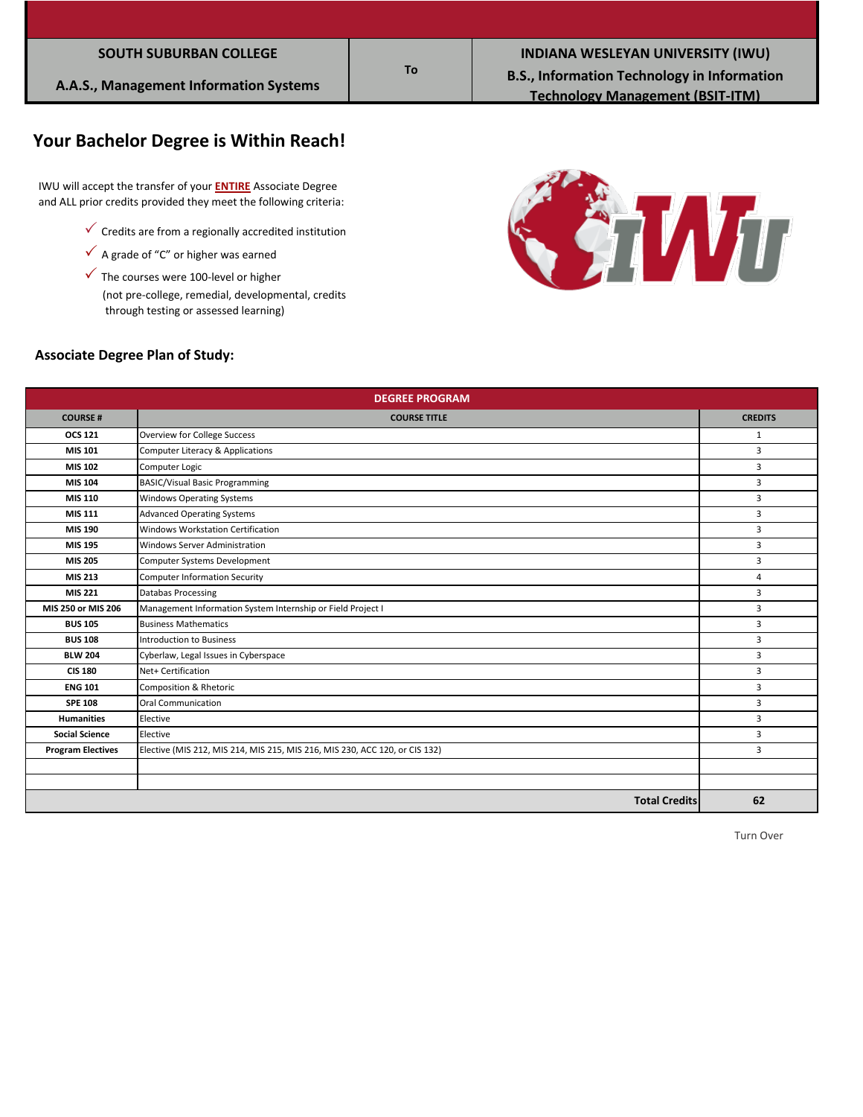| <b>SOUTH SUBURBAN COLLEGE</b> |  |
|-------------------------------|--|
|                               |  |

## **Your Bachelor Degree is Within Reach!**

 IWU will accept the transfer of your **ENTIRE** Associate Degree and ALL prior credits provided they meet the following criteria:

- $\checkmark$  Credits are from a regionally accredited institution
- $\checkmark$  A grade of "C" or higher was earned
- $\checkmark$  The courses were 100-level or higher

 (not pre-college, remedial, developmental, credits through testing or assessed learning)



#### **Associate Degree Plan of Study:**

| <b>DEGREE PROGRAM</b>    |                                                                             |                |  |
|--------------------------|-----------------------------------------------------------------------------|----------------|--|
| <b>COURSE#</b>           | <b>COURSE TITLE</b>                                                         | <b>CREDITS</b> |  |
| <b>OCS 121</b>           | Overview for College Success                                                | $\mathbf{1}$   |  |
| MIS 101                  | Computer Literacy & Applications                                            | 3              |  |
| <b>MIS 102</b>           | Computer Logic                                                              | 3              |  |
| MIS 104                  | <b>BASIC/Visual Basic Programming</b>                                       | 3              |  |
| <b>MIS 110</b>           | <b>Windows Operating Systems</b>                                            | 3              |  |
| <b>MIS 111</b>           | <b>Advanced Operating Systems</b>                                           | 3              |  |
| MIS 190                  | Windows Workstation Certification                                           | 3              |  |
| <b>MIS 195</b>           | <b>Windows Server Administration</b>                                        | 3              |  |
| <b>MIS 205</b>           | Computer Systems Development                                                | 3              |  |
| <b>MIS 213</b>           | <b>Computer Information Security</b>                                        | 4              |  |
| MIS 221                  | <b>Databas Processing</b>                                                   | 3              |  |
| MIS 250 or MIS 206       | Management Information System Internship or Field Project I                 | 3              |  |
| <b>BUS 105</b>           | <b>Business Mathematics</b>                                                 | 3              |  |
| <b>BUS 108</b>           | <b>Introduction to Business</b>                                             | 3              |  |
| <b>BLW 204</b>           | Cyberlaw, Legal Issues in Cyberspace                                        | 3              |  |
| <b>CIS 180</b>           | Net+ Certification                                                          | 3              |  |
| <b>ENG 101</b>           | Composition & Rhetoric                                                      | 3              |  |
| <b>SPE 108</b>           | <b>Oral Communication</b>                                                   | 3              |  |
| <b>Humanities</b>        | Elective                                                                    | 3              |  |
| <b>Social Science</b>    | Elective                                                                    | 3              |  |
| <b>Program Electives</b> | Elective (MIS 212, MIS 214, MIS 215, MIS 216, MIS 230, ACC 120, or CIS 132) | $\overline{3}$ |  |
|                          |                                                                             |                |  |
|                          |                                                                             |                |  |
|                          | <b>Total Credits</b>                                                        | 62             |  |